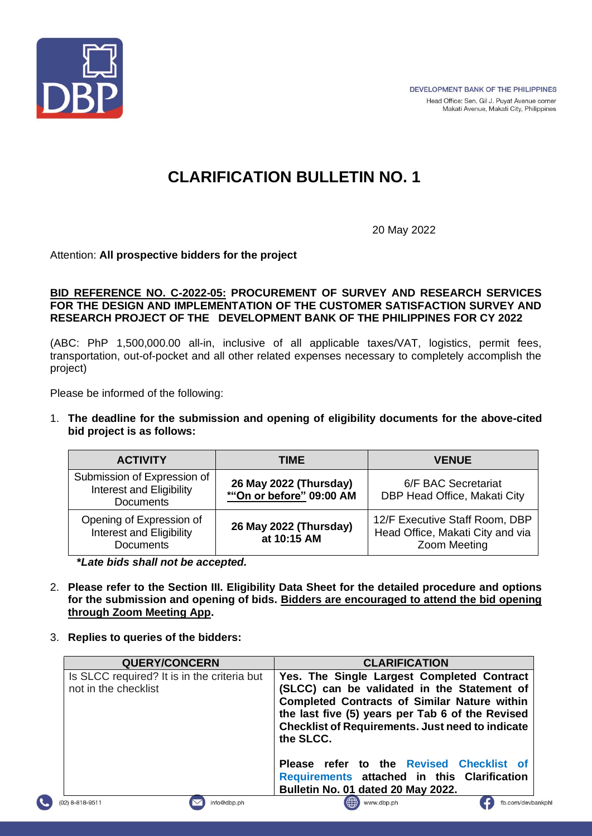

# **CLARIFICATION BULLETIN NO. 1**

20 May 2022

Attention: **All prospective bidders for the project**

### **BID REFERENCE NO. C-2022-05: PROCUREMENT OF SURVEY AND RESEARCH SERVICES FOR THE DESIGN AND IMPLEMENTATION OF THE CUSTOMER SATISFACTION SURVEY AND RESEARCH PROJECT OF THE DEVELOPMENT BANK OF THE PHILIPPINES FOR CY 2022**

(ABC: PhP 1,500,000.00 all-in, inclusive of all applicable taxes/VAT, logistics, permit fees, transportation, out-of-pocket and all other related expenses necessary to completely accomplish the project)

Please be informed of the following:

1. **The deadline for the submission and opening of eligibility documents for the above-cited bid project is as follows:**

| <b>ACTIVITY</b>                                                             | TIME                                               | <b>VENUE</b>                                                                       |
|-----------------------------------------------------------------------------|----------------------------------------------------|------------------------------------------------------------------------------------|
| Submission of Expression of<br>Interest and Eligibility<br><b>Documents</b> | 26 May 2022 (Thursday)<br>*"On or before" 09:00 AM | 6/F BAC Secretariat<br>DBP Head Office, Makati City                                |
| Opening of Expression of<br>Interest and Eligibility<br><b>Documents</b>    | 26 May 2022 (Thursday)<br>at 10:15 AM              | 12/F Executive Staff Room, DBP<br>Head Office, Makati City and via<br>Zoom Meeting |

 **\****Late bids shall not be accepted.*

- 2. **Please refer to the Section III. Eligibility Data Sheet for the detailed procedure and options for the submission and opening of bids. Bidders are encouraged to attend the bid opening through Zoom Meeting App.**
- 3. **Replies to queries of the bidders:**

| <b>QUERY/CONCERN</b>                                                | <b>CLARIFICATION</b>                                                                                                                                                                                                                                                         |
|---------------------------------------------------------------------|------------------------------------------------------------------------------------------------------------------------------------------------------------------------------------------------------------------------------------------------------------------------------|
| Is SLCC required? It is in the criteria but<br>not in the checklist | Yes. The Single Largest Completed Contract<br>(SLCC) can be validated in the Statement of<br><b>Completed Contracts of Similar Nature within</b><br>the last five (5) years per Tab 6 of the Revised<br><b>Checklist of Requirements. Just need to indicate</b><br>the SLCC. |
|                                                                     | Please refer to the Revised Checklist of<br>Requirements attached in this Clarification<br>Bulletin No. 01 dated 20 May 2022.                                                                                                                                                |
| info@dbp.ph<br>$(02)$ 8-818-9511                                    | ( <sup>4</sup> ) www.dbp.ph<br>fb.com/devb                                                                                                                                                                                                                                   |





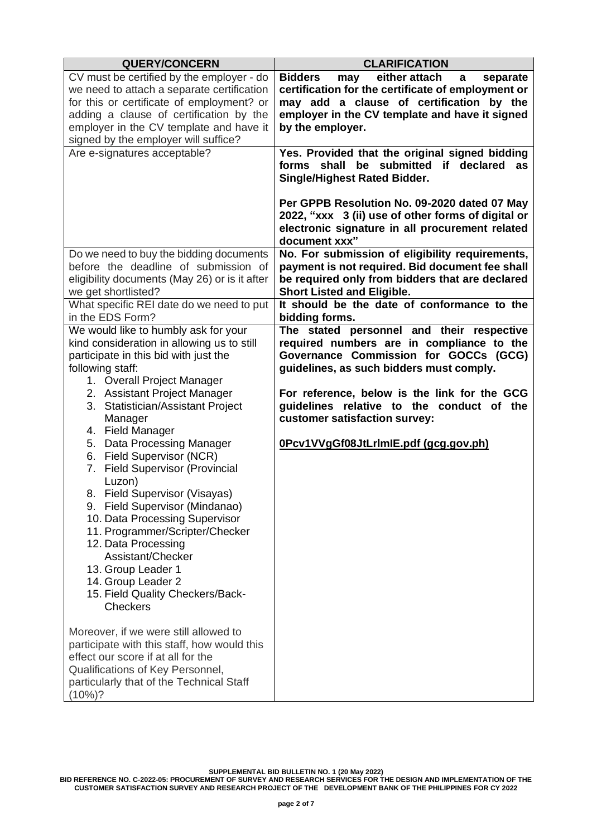| <b>QUERY/CONCERN</b>                                                                                                                                                                                                                                                                                                                                                                                  | <b>CLARIFICATION</b>                                                                                                                                                                                                        |
|-------------------------------------------------------------------------------------------------------------------------------------------------------------------------------------------------------------------------------------------------------------------------------------------------------------------------------------------------------------------------------------------------------|-----------------------------------------------------------------------------------------------------------------------------------------------------------------------------------------------------------------------------|
| CV must be certified by the employer - do<br>we need to attach a separate certification<br>for this or certificate of employment? or<br>adding a clause of certification by the                                                                                                                                                                                                                       | either attach<br><b>Bidders</b><br>separate<br>may<br>a<br>certification for the certificate of employment or<br>may add a clause of certification by the<br>employer in the CV template and have it signed                 |
| employer in the CV template and have it<br>signed by the employer will suffice?                                                                                                                                                                                                                                                                                                                       | by the employer.                                                                                                                                                                                                            |
| Are e-signatures acceptable?                                                                                                                                                                                                                                                                                                                                                                          | Yes. Provided that the original signed bidding<br>forms shall be submitted if declared<br>as<br><b>Single/Highest Rated Bidder.</b>                                                                                         |
|                                                                                                                                                                                                                                                                                                                                                                                                       | Per GPPB Resolution No. 09-2020 dated 07 May<br>2022, "xxx 3 (ii) use of other forms of digital or<br>electronic signature in all procurement related<br>document xxx"                                                      |
| Do we need to buy the bidding documents<br>before the deadline of submission of<br>eligibility documents (May 26) or is it after<br>we get shortlisted?                                                                                                                                                                                                                                               | No. For submission of eligibility requirements,<br>payment is not required. Bid document fee shall<br>be required only from bidders that are declared<br><b>Short Listed and Eligible.</b>                                  |
| What specific REI date do we need to put<br>in the EDS Form?                                                                                                                                                                                                                                                                                                                                          | It should be the date of conformance to the<br>bidding forms.                                                                                                                                                               |
| We would like to humbly ask for your<br>kind consideration in allowing us to still<br>participate in this bid with just the<br>following staff:<br>1. Overall Project Manager<br>2. Assistant Project Manager                                                                                                                                                                                         | The stated personnel and their respective<br>required numbers are in compliance to the<br>Governance Commission for GOCCs (GCG)<br>guidelines, as such bidders must comply.<br>For reference, below is the link for the GCG |
| 3. Statistician/Assistant Project<br>Manager<br>4. Field Manager                                                                                                                                                                                                                                                                                                                                      | guidelines relative to the conduct of the<br>customer satisfaction survey:                                                                                                                                                  |
| 5. Data Processing Manager<br>6. Field Supervisor (NCR)<br><b>Field Supervisor (Provincial</b><br>7.<br>Luzon)<br>8. Field Supervisor (Visayas)<br>9. Field Supervisor (Mindanao)<br>10. Data Processing Supervisor<br>11. Programmer/Scripter/Checker<br>12. Data Processing<br>Assistant/Checker<br>13. Group Leader 1<br>14. Group Leader 2<br>15. Field Quality Checkers/Back-<br><b>Checkers</b> | 0Pcv1VVgGf08JtLrImIE.pdf (gcg.gov.ph)                                                                                                                                                                                       |
| Moreover, if we were still allowed to<br>participate with this staff, how would this<br>effect our score if at all for the<br>Qualifications of Key Personnel,<br>particularly that of the Technical Staff<br>(10%)?                                                                                                                                                                                  |                                                                                                                                                                                                                             |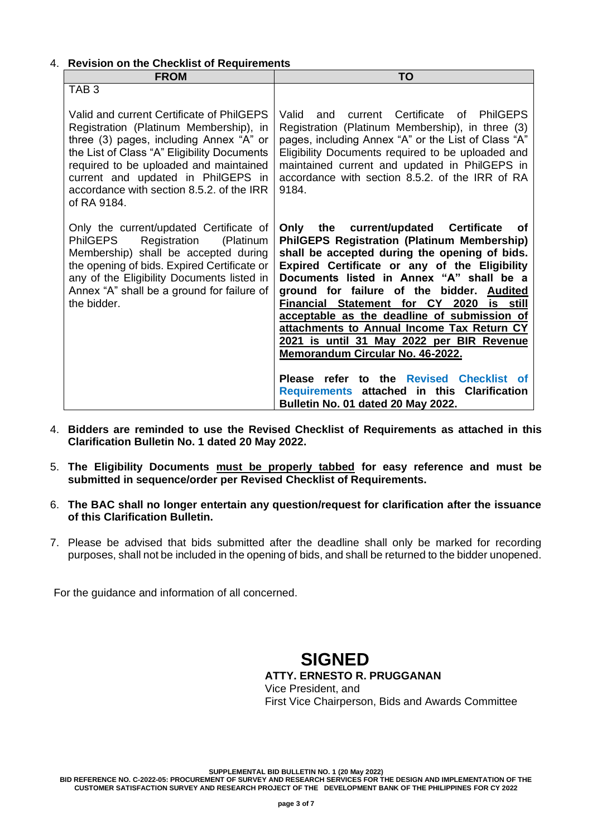### 4. **Revision on the Checklist of Requirements**

| <b>FROM</b>                                                                                                                                                                                                                                                                                                               | TO                                                                                                                                                                                                                                                                                                                                                                                                                                                                                                                                                                                                                                                                     |
|---------------------------------------------------------------------------------------------------------------------------------------------------------------------------------------------------------------------------------------------------------------------------------------------------------------------------|------------------------------------------------------------------------------------------------------------------------------------------------------------------------------------------------------------------------------------------------------------------------------------------------------------------------------------------------------------------------------------------------------------------------------------------------------------------------------------------------------------------------------------------------------------------------------------------------------------------------------------------------------------------------|
| TAB <sub>3</sub>                                                                                                                                                                                                                                                                                                          |                                                                                                                                                                                                                                                                                                                                                                                                                                                                                                                                                                                                                                                                        |
| Valid and current Certificate of PhilGEPS<br>Registration (Platinum Membership), in<br>three (3) pages, including Annex "A" or<br>the List of Class "A" Eligibility Documents<br>required to be uploaded and maintained<br>current and updated in PhilGEPS in<br>accordance with section 8.5.2, of the IRR<br>of RA 9184. | current Certificate of PhilGEPS<br>Valid<br>and<br>Registration (Platinum Membership), in three (3)<br>pages, including Annex "A" or the List of Class "A"<br>Eligibility Documents required to be uploaded and<br>maintained current and updated in PhilGEPS in<br>accordance with section 8.5.2. of the IRR of RA<br>9184.                                                                                                                                                                                                                                                                                                                                           |
| Only the current/updated Certificate of<br><b>PhilGEPS</b><br>Registration<br>(Platinum<br>Membership) shall be accepted during<br>the opening of bids. Expired Certificate or<br>any of the Eligibility Documents listed in<br>Annex "A" shall be a ground for failure of<br>the bidder.                                 | the current/updated Certificate<br>Only<br>οf<br><b>PhilGEPS Registration (Platinum Membership)</b><br>shall be accepted during the opening of bids.<br>Expired Certificate or any of the Eligibility<br>Documents listed in Annex "A" shall be a<br>ground for failure of the bidder.<br><b>Audited</b><br>Financial Statement for CY 2020<br>is still<br>acceptable as the deadline of submission of<br>attachments to Annual Income Tax Return CY<br>2021 is until 31 May 2022 per BIR Revenue<br>Memorandum Circular No. 46-2022.<br>Please refer to the Revised Checklist of<br>Requirements attached in this Clarification<br>Bulletin No. 01 dated 20 May 2022. |

- 4. **Bidders are reminded to use the Revised Checklist of Requirements as attached in this Clarification Bulletin No. 1 dated 20 May 2022.**
- 5. **The Eligibility Documents must be properly tabbed for easy reference and must be submitted in sequence/order per Revised Checklist of Requirements.**
- 6. **The BAC shall no longer entertain any question/request for clarification after the issuance of this Clarification Bulletin.**
- 7. Please be advised that bids submitted after the deadline shall only be marked for recording purposes, shall not be included in the opening of bids, and shall be returned to the bidder unopened.

For the guidance and information of all concerned.

## **SIGNED**

**ATTY. ERNESTO R. PRUGGANAN** Vice President, and First Vice Chairperson, Bids and Awards Committee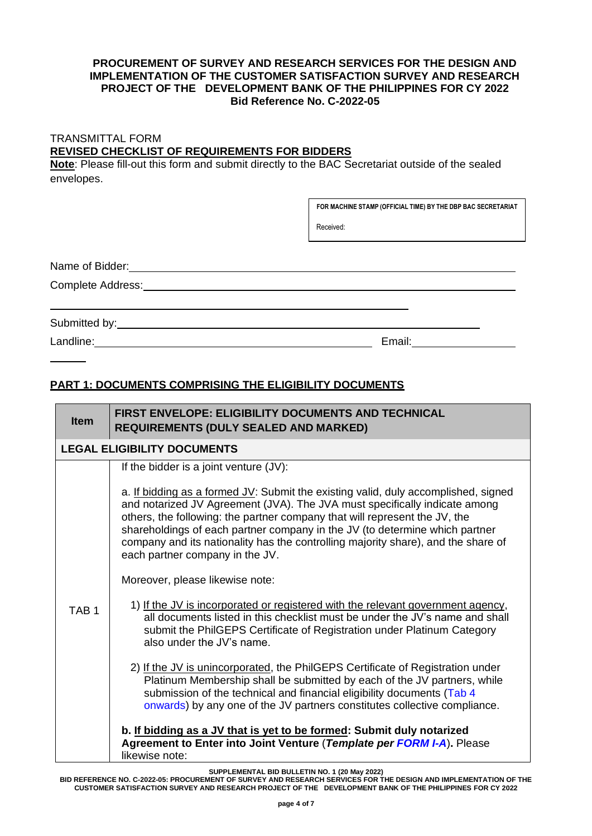### **PROCUREMENT OF SURVEY AND RESEARCH SERVICES FOR THE DESIGN AND IMPLEMENTATION OF THE CUSTOMER SATISFACTION SURVEY AND RESEARCH PROJECT OF THE DEVELOPMENT BANK OF THE PHILIPPINES FOR CY 2022 Bid Reference No. C-2022-05**

## TRANSMITTAL FORM **REVISED CHECKLIST OF REQUIREMENTS FOR BIDDERS**

**Note**: Please fill-out this form and submit directly to the BAC Secretariat outside of the sealed envelopes.

**FOR MACHINE STAMP (OFFICIAL TIME) BY THE DBP BAC SECRETARIAT**

Received:

Name of Bidder: We have a state of  $\mathbb{R}^n$  and  $\mathbb{R}^n$  and  $\mathbb{R}^n$  are the state of  $\mathbb{R}^n$  and  $\mathbb{R}^n$  and  $\mathbb{R}^n$  are the state of  $\mathbb{R}^n$  and  $\mathbb{R}^n$  are the state of  $\mathbb{R}^n$  and  $\mathbb{R}^n$  ar

Complete Address:

Submitted by:

Landline: Email: Email: Email: Email: Email: Email: Email: Email: Email: Email: Email: Email: Email: Email: Email: Email: Email: Email: Email: Email: Email: Email: Email: Email: Email: Email: Email: Email: Email: Email: Em

### **PART 1: DOCUMENTS COMPRISING THE ELIGIBILITY DOCUMENTS**

| <b>Item</b>                        | <b>FIRST ENVELOPE: ELIGIBILITY DOCUMENTS AND TECHNICAL</b><br><b>REQUIREMENTS (DULY SEALED AND MARKED)</b>                                                                                                                                                                                                                                                                                                                                                                                                                                                                                                                                                                                                                                                                                                                                                                                                                                                                                                                                                                                                                         |  |
|------------------------------------|------------------------------------------------------------------------------------------------------------------------------------------------------------------------------------------------------------------------------------------------------------------------------------------------------------------------------------------------------------------------------------------------------------------------------------------------------------------------------------------------------------------------------------------------------------------------------------------------------------------------------------------------------------------------------------------------------------------------------------------------------------------------------------------------------------------------------------------------------------------------------------------------------------------------------------------------------------------------------------------------------------------------------------------------------------------------------------------------------------------------------------|--|
| <b>LEGAL ELIGIBILITY DOCUMENTS</b> |                                                                                                                                                                                                                                                                                                                                                                                                                                                                                                                                                                                                                                                                                                                                                                                                                                                                                                                                                                                                                                                                                                                                    |  |
| TAB <sub>1</sub>                   | If the bidder is a joint venture (JV):<br>a. If bidding as a formed JV: Submit the existing valid, duly accomplished, signed<br>and notarized JV Agreement (JVA). The JVA must specifically indicate among<br>others, the following: the partner company that will represent the JV, the<br>shareholdings of each partner company in the JV (to determine which partner<br>company and its nationality has the controlling majority share), and the share of<br>each partner company in the JV.<br>Moreover, please likewise note:<br>1) If the JV is incorporated or registered with the relevant government agency,<br>all documents listed in this checklist must be under the JV's name and shall<br>submit the PhilGEPS Certificate of Registration under Platinum Category<br>also under the JV's name.<br>2) If the JV is unincorporated, the PhilGEPS Certificate of Registration under<br>Platinum Membership shall be submitted by each of the JV partners, while<br>submission of the technical and financial eligibility documents (Tab 4<br>onwards) by any one of the JV partners constitutes collective compliance. |  |
|                                    | b. If bidding as a JV that is yet to be formed: Submit duly notarized<br>Agreement to Enter into Joint Venture (Template per FORM I-A). Please<br>likewise note:                                                                                                                                                                                                                                                                                                                                                                                                                                                                                                                                                                                                                                                                                                                                                                                                                                                                                                                                                                   |  |

**SUPPLEMENTAL BID BULLETIN NO. 1 (20 May 2022)**

**BID REFERENCE NO. C-2022-05: PROCUREMENT OF SURVEY AND RESEARCH SERVICES FOR THE DESIGN AND IMPLEMENTATION OF THE CUSTOMER SATISFACTION SURVEY AND RESEARCH PROJECT OF THE DEVELOPMENT BANK OF THE PHILIPPINES FOR CY 2022**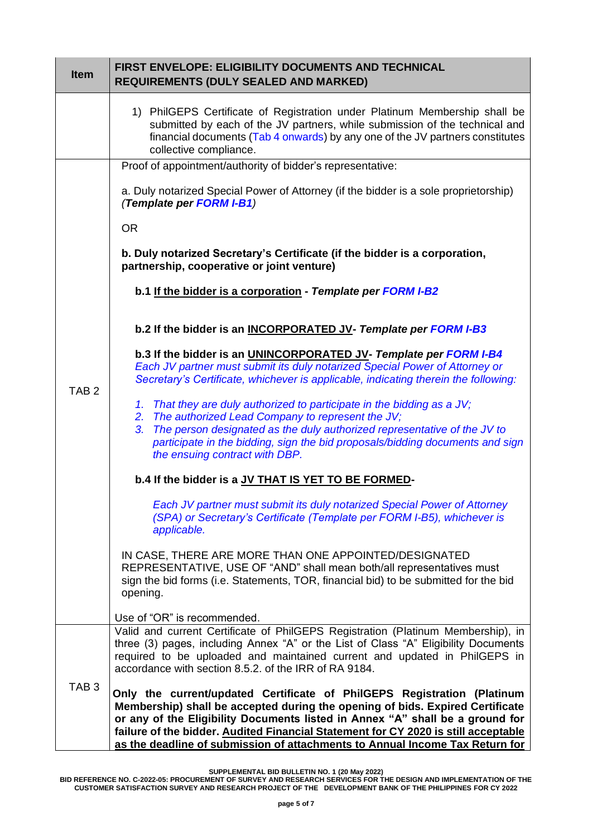| <b>Item</b>      | <b>FIRST ENVELOPE: ELIGIBILITY DOCUMENTS AND TECHNICAL</b><br><b>REQUIREMENTS (DULY SEALED AND MARKED)</b>                                                                                                                                                                                                                                                                                                      |
|------------------|-----------------------------------------------------------------------------------------------------------------------------------------------------------------------------------------------------------------------------------------------------------------------------------------------------------------------------------------------------------------------------------------------------------------|
|                  | 1) PhilGEPS Certificate of Registration under Platinum Membership shall be<br>submitted by each of the JV partners, while submission of the technical and<br>financial documents (Tab 4 onwards) by any one of the JV partners constitutes<br>collective compliance.                                                                                                                                            |
|                  | Proof of appointment/authority of bidder's representative:                                                                                                                                                                                                                                                                                                                                                      |
|                  | a. Duly notarized Special Power of Attorney (if the bidder is a sole proprietorship)<br>(Template per FORM I-B1)                                                                                                                                                                                                                                                                                                |
|                  | <b>OR</b>                                                                                                                                                                                                                                                                                                                                                                                                       |
| TAB <sub>2</sub> | b. Duly notarized Secretary's Certificate (if the bidder is a corporation,<br>partnership, cooperative or joint venture)                                                                                                                                                                                                                                                                                        |
|                  | b.1 If the bidder is a corporation - Template per FORM I-B2                                                                                                                                                                                                                                                                                                                                                     |
|                  | b.2 If the bidder is an INCORPORATED JV- Template per FORM I-B3                                                                                                                                                                                                                                                                                                                                                 |
|                  | b.3 If the bidder is an UNINCORPORATED JV- Template per FORM I-B4<br>Each JV partner must submit its duly notarized Special Power of Attorney or<br>Secretary's Certificate, whichever is applicable, indicating therein the following:                                                                                                                                                                         |
|                  | 1. That they are duly authorized to participate in the bidding as a JV;<br>2. The authorized Lead Company to represent the JV;<br>3. The person designated as the duly authorized representative of the JV to<br>participate in the bidding, sign the bid proposals/bidding documents and sign                                                                                                                  |
|                  | the ensuing contract with DBP.<br>b.4 If the bidder is a JV THAT IS YET TO BE FORMED-                                                                                                                                                                                                                                                                                                                           |
|                  |                                                                                                                                                                                                                                                                                                                                                                                                                 |
|                  | Each JV partner must submit its duly notarized Special Power of Attorney<br>(SPA) or Secretary's Certificate (Template per FORM I-B5), whichever is<br>applicable.                                                                                                                                                                                                                                              |
|                  | IN CASE, THERE ARE MORE THAN ONE APPOINTED/DESIGNATED<br>REPRESENTATIVE, USE OF "AND" shall mean both/all representatives must<br>sign the bid forms (i.e. Statements, TOR, financial bid) to be submitted for the bid<br>opening.                                                                                                                                                                              |
|                  | Use of "OR" is recommended.                                                                                                                                                                                                                                                                                                                                                                                     |
| TAB <sub>3</sub> | Valid and current Certificate of PhilGEPS Registration (Platinum Membership), in<br>three (3) pages, including Annex "A" or the List of Class "A" Eligibility Documents<br>required to be uploaded and maintained current and updated in PhilGEPS in<br>accordance with section 8.5.2. of the IRR of RA 9184.                                                                                                   |
|                  | Only the current/updated Certificate of PhilGEPS Registration (Platinum<br>Membership) shall be accepted during the opening of bids. Expired Certificate<br>or any of the Eligibility Documents listed in Annex "A" shall be a ground for<br>failure of the bidder. Audited Financial Statement for CY 2020 is still acceptable<br>as the deadline of submission of attachments to Annual Income Tax Return for |

**SUPPLEMENTAL BID BULLETIN NO. 1 (20 May 2022)**

**BID REFERENCE NO. C-2022-05: PROCUREMENT OF SURVEY AND RESEARCH SERVICES FOR THE DESIGN AND IMPLEMENTATION OF THE CUSTOMER SATISFACTION SURVEY AND RESEARCH PROJECT OF THE DEVELOPMENT BANK OF THE PHILIPPINES FOR CY 2022**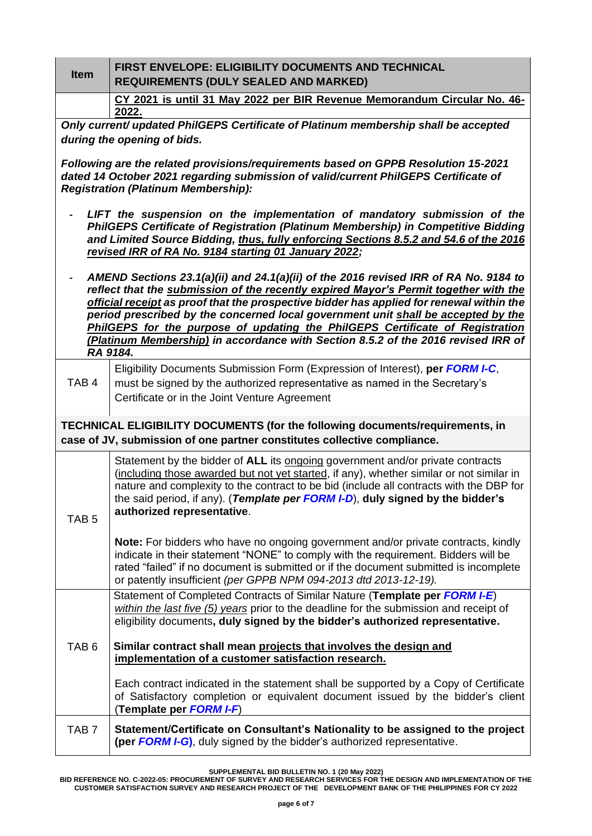| <b>Item</b>      | <b>FIRST ENVELOPE: ELIGIBILITY DOCUMENTS AND TECHNICAL</b><br><b>REQUIREMENTS (DULY SEALED AND MARKED)</b>                                                                                                                                                                                                                                                                                                                                                                                                                          |
|------------------|-------------------------------------------------------------------------------------------------------------------------------------------------------------------------------------------------------------------------------------------------------------------------------------------------------------------------------------------------------------------------------------------------------------------------------------------------------------------------------------------------------------------------------------|
|                  | CY 2021 is until 31 May 2022 per BIR Revenue Memorandum Circular No. 46-                                                                                                                                                                                                                                                                                                                                                                                                                                                            |
|                  | 2022.                                                                                                                                                                                                                                                                                                                                                                                                                                                                                                                               |
|                  | Only current/ updated PhilGEPS Certificate of Platinum membership shall be accepted                                                                                                                                                                                                                                                                                                                                                                                                                                                 |
|                  | during the opening of bids.                                                                                                                                                                                                                                                                                                                                                                                                                                                                                                         |
|                  | Following are the related provisions/requirements based on GPPB Resolution 15-2021<br>dated 14 October 2021 regarding submission of valid/current PhilGEPS Certificate of<br><b>Registration (Platinum Membership):</b>                                                                                                                                                                                                                                                                                                             |
|                  | LIFT the suspension on the implementation of mandatory submission of the<br>PhilGEPS Certificate of Registration (Platinum Membership) in Competitive Bidding<br>and Limited Source Bidding, thus, fully enforcing Sections 8.5.2 and 54.6 of the 2016<br>revised IRR of RA No. 9184 starting 01 January 2022;                                                                                                                                                                                                                      |
|                  | AMEND Sections 23.1(a)(ii) and 24.1(a)(ii) of the 2016 revised IRR of RA No. 9184 to<br>reflect that the submission of the recently expired Mayor's Permit together with the<br>official receipt as proof that the prospective bidder has applied for renewal within the<br>period prescribed by the concerned local government unit shall be accepted by the<br>PhilGEPS for the purpose of updating the PhilGEPS Certificate of Registration<br>(Platinum Membership) in accordance with Section 8.5.2 of the 2016 revised IRR of |
|                  | RA 9184.                                                                                                                                                                                                                                                                                                                                                                                                                                                                                                                            |
| TAB <sub>4</sub> | Eligibility Documents Submission Form (Expression of Interest), per FORM I-C,<br>must be signed by the authorized representative as named in the Secretary's                                                                                                                                                                                                                                                                                                                                                                        |
|                  | Certificate or in the Joint Venture Agreement                                                                                                                                                                                                                                                                                                                                                                                                                                                                                       |
|                  | TECHNICAL ELIGIBILITY DOCUMENTS (for the following documents/requirements, in<br>case of JV, submission of one partner constitutes collective compliance.                                                                                                                                                                                                                                                                                                                                                                           |
| TAB <sub>5</sub> | Statement by the bidder of ALL its ongoing government and/or private contracts<br>(including those awarded but not yet started, if any), whether similar or not similar in<br>nature and complexity to the contract to be bid (include all contracts with the DBP for<br>the said period, if any). (Template per FORM I-D), duly signed by the bidder's<br>authorized representative.                                                                                                                                               |
|                  | <b>Note:</b> For bidders who have no ongoing government and/or private contracts, kindly<br>indicate in their statement "NONE" to comply with the requirement. Bidders will be<br>rated "failed" if no document is submitted or if the document submitted is incomplete<br>or patently insufficient (per GPPB NPM 094-2013 dtd 2013-12-19).                                                                                                                                                                                         |
|                  | Statement of Completed Contracts of Similar Nature (Template per FORM I-E)<br>within the last five (5) years prior to the deadline for the submission and receipt of<br>eligibility documents, duly signed by the bidder's authorized representative.                                                                                                                                                                                                                                                                               |
| TAB <sub>6</sub> | Similar contract shall mean projects that involves the design and<br>implementation of a customer satisfaction research.                                                                                                                                                                                                                                                                                                                                                                                                            |
|                  | Each contract indicated in the statement shall be supported by a Copy of Certificate<br>of Satisfactory completion or equivalent document issued by the bidder's client<br>(Template per FORM I-F)                                                                                                                                                                                                                                                                                                                                  |
| TAB <sub>7</sub> | Statement/Certificate on Consultant's Nationality to be assigned to the project<br>(per FORM I-G), duly signed by the bidder's authorized representative.                                                                                                                                                                                                                                                                                                                                                                           |

**SUPPLEMENTAL BID BULLETIN NO. 1 (20 May 2022)**

**BID REFERENCE NO. C-2022-05: PROCUREMENT OF SURVEY AND RESEARCH SERVICES FOR THE DESIGN AND IMPLEMENTATION OF THE CUSTOMER SATISFACTION SURVEY AND RESEARCH PROJECT OF THE DEVELOPMENT BANK OF THE PHILIPPINES FOR CY 2022**